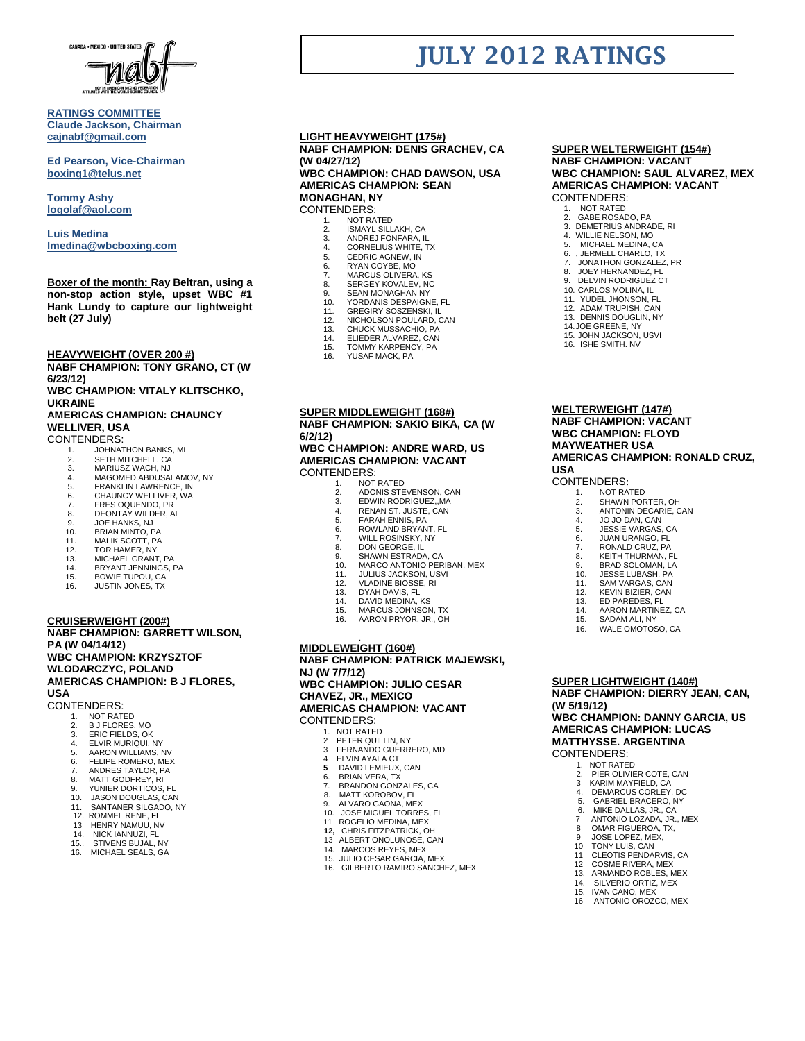

### **RATINGS COMMITTEE Claude Jackson, Chairman [cajnabf@gmail.com](mailto:cajnabf@gmail.com)**

**Ed Pearson, Vice-Chairman boxing1@telus.net**

**Tommy Ashy [logolaf@aol.com](mailto:logolaf@aol.com)**

**Luis Medina [lmedina@wbcboxing.com](mailto:lmedina@wbcboxing.com)**

**Boxer of the month: Ray Beltran, using a non-stop action style, upset WBC #1 Hank Lundy to capture our lightweight belt (27 July)**

**HEAVYWEIGHT (OVER 200 #)**

**NABF CHAMPION: TONY GRANO, CT (W 6/23/12)** 

**WBC CHAMPION: VITALY KLITSCHKO, UKRAINE**

## **AMERICAS CHAMPION: CHAUNCY WELLIVER, USA**

CONTENDERS:

- 
- 1. JOHNATHON BANKS, MI 2. SETH MITCHELL. CA
- 3. MARIUSZ WACH, NJ<br>4. MAGOMED ABDUSA
- 4. MAGOMED ABDUSALAMOV, NY
- 5. FRANKLIN LAWRENCE, IN<br>6. CHAUNCY WELLIVER, WA 6. CHAUNCY WELLIVER, WA<br>7 FRES OQUENDO PR
- 7. FRES OQUENDO, PR<br>8. DEONTAY WILDER. A
- 8. DEONTAY WILDER, AL<br>9. JOE HANKS NJ
- 9. JOE HANKS, NJ<br>10. BRIAN MINTO, P
- 10. BRIAN MINTO, PA<br>11. MALIK SCOTT, PA
- 11. MALIK SCOTT, PA
- 12. TOR HAMER, NY<br>13. MICHAEL GRANT
- 13. MICHAEL GRANT, PA
- 14. BRYANT JENNINGS, PA BOWIE TUPOU, CA
- 16. JUSTIN JONES, TX

**CRUISERWEIGHT (200#) NABF CHAMPION: GARRETT WILSON, PA (W 04/14/12) WBC CHAMPION: KRZYSZTOF WLODARCZYC, POLAND AMERICAS CHAMPION: B J FLORES, USA**

CONTENDERS:

- 1. NOT RATED<br>2. B J FLORES,
- 2. B J FLORES, MO ERIC FIELDS, OK
- 
- 4. ELVIR MURIQUI, NY<br>5. AARON WILLIAMS. 5. AARON WILLIAMS, NV
- 6. FELIPE ROMERO, MEX
- 7. ANDRES TAYLOR, PA<br>8 MATT GODEREY RI
- 
- 8. MATT GODFREY, RI 9. YUNIER DORTICOS, FL
- 10. JASON DOUGLAS, CAN
- 11. SANTANER SILGADO, NY<br>12. ROMMEL RENE. FL
- 12. ROMMEL RENE, FL<br>12. ROMMEL RENE, FL<br>13. HENRY NAMUU. NY
- HENRY NAMUU, NV
- 14. NICK IANNUZI, FL<br>15.. STIVENS BUJAL.
- 15.. STIVENS BUJAL, NY<br>16. MICHAEL SEALS GA MICHAEL SEALS, GA

#### **LIGHT HEAVYWEIGHT (175#) NABF CHAMPION: DENIS GRACHEV, CA (W 04/27/12) WBC CHAMPION: CHAD DAWSON, USA**

**AMERICAS CHAMPION: SEAN MONAGHAN, NY** CONTENDERS:

- 
- 1. NOT RATED<br>2. ISMAYL SILL 2. ISMAYL SILLAKH, CA<br>3. ANDREJ FONFARA, IL
- 3. ANDREJ FONFARA, IL 4. CORNELIUS WHITE, TX
- 
- RYAN COYBE, MO
- 5. CEDRIC AGNEW, IN<br>6. RYAN COYBE, MO<br>7. MARCUS OLIVERA, I
- 3. KYAN OO FBE, MO<br>7. MARCUS OLIVERA, KS<br>8. SERGEY KOVALEV, NC
- 8. SERGEY KOVALEV, NC 9. SEAN MONAGHAN NY
- 10. YORDANIS DESPAIGNE, FL
- 11. GREGIRY SOSZENSKI, IL 12. NICHOLSON POULARD, CAN
- 
- 13. CHUCK MUSSACHIO, PA<br>14. FLIEDER ALVAREZ CAN
- 14. ELIEDER ALVAREZ, CAN<br>15. TOMMY KARPENCY, PA
- TOMMY KARPENCY, PA
- 16. YUSAF MACK, PA

#### **SUPER MIDDLEWEIGHT (168#) NABF CHAMPION: SAKIO BIKA, CA (W 6/2/12)**

**WBC CHAMPION: ANDRE WARD, US AMERICAS CHAMPION: VACANT** CONTENDERS:

- 
- 1. NOT RATED<br>2. ADONIS STE
- 2. ADONIS STEVENSON, CAN<br>3. EDWIN RODRIGUEZ, MA
- 3. EDWIN RODRIGUEZ,, MA<br>4. RENAN ST JUSTE CAN 4. RENAN ST. JUSTE, CAN<br>5 FARAH FNNIS PA
- 5. FARAH ENNIS, PA 6. ROWLAND BRYANT, FL
- 
- **7.** WILL ROSINSKY, NY
- 8. DON GEORGE, IL<br>9. SHAWN ESTRAD
- 9. SHAWN ESTRADA, CA<br>10. MARCO ANTONIO PER
- 10. MARCO ANTONIO PERIBAN, MEX 11. JULIUS JACKSON, USVI
- 
- 12. VLADINE BIOSSE, RI<br>13. DYAH DAVIS, FL
- 13. DYAH DAVIS, FL 14. DAVID MEDINA, KS
- 
- 15. MARCUS JOHNSON, TX<br>16. AARON PRYOR JR OH 16. AARON PRYOR, JR., OH

#### . **MIDDLEWEIGHT (160#)**

**NABF CHAMPION: PATRICK MAJEWSKI, NJ (W 7/7/12) WBC CHAMPION: JULIO CESAR CHAVEZ, JR., MEXICO AMERICAS CHAMPION: VACANT** CONTENDERS:

- 
- 1. NOT RATED<br>2 PETER OUT 2 PETER QUILLIN, NY<br>3 FERNANDO GUERR
- 3 FERNANDO GUERRERO, MD<br>4 ELVIN AYALA CT
- 4 ELVIN AYALA CT **5** DAVID LEMIEUX, CAN
- 
- 6. BRIAN VERA, TX 7. BRANDON GONZALES, CA
- 8. MATT KOROBOV, FL
- 
- 9. ALVARO GAONA, MEX 10. JOSE MIGUEL TORRES, FL
- 11 ROGELIO MEDINA, MEX<br>12. CHRIS FITZPATRICK. O
- **12,** CHRIS FITZPATRICK, OH ALBERT ONOLUNOSE, CAN
- 14. MARCOS REYES, MEX
- 15. JULIO CESAR GARCIA, MEX
- GILBERTO RAMIRO SANCHEZ, MEX

## **SUPER WELTERWEIGHT (154#) NABF CHAMPION: VACANT WBC CHAMPION: SAUL ALVAREZ, MEX**

## **AMERICAS CHAMPION: VACANT** CONTENDERS:

1. NOT RATED

**JULY 2012 RATINGS**

- 2. GABE ROSADO, PA<br>3. DEMETRIUS ANDRADE, RI
- 4. WILLIE NELSON, MO
- 5. MICHAEL MEDINA, CA<br>6. JERMELL CHARLO, TX
- 6. , JERMELL CHARLO, TX

10. CARLOS MOLINA, IL 11. YUDEL JHONSON, FL 12. ADAM TRUPISH. CAN 13. DENNIS DOUGLIN, NY 14.JOE GREENE, NY 15. JOHN JACKSON, USVI 16. ISHE SMITH. NV

**WELTERWEIGHT (147#) NABF CHAMPION: VACANT WBC CHAMPION: FLOYD MAYWEATHER USA**

**USA**

CONTENDERS: 1. NOT RATED<br>2 SHAWN POR

**AMERICAS CHAMPION: RONALD CRUZ,** 

2. SHAWN PORTER, OH 3. ANTONIN DECARIE, CAN 4. JO JO DAN, CAN 5. JESSIE VARGAS, CA 6. JUAN URANGO, FL<br>7 RONALD CRUZ PA 7. RONALD CRUZ, PA 8. KEITH THURMAN, FL 9. BRAD SOLOMAN, LA 10. JESSE LUBASH, PA 11. SAM VARGAS, CAN<br>12. KEVIN BIZIER. CAN 12. KEVIN BIZIER, CAN 13. ED PAREDES, FL 14. AARON MARTINEZ, CA SADAM ALL NY 16. WALE OMOTOSO, CA

**SUPER LIGHTWEIGHT (140#)**

2. PIER OLIVIER COTE, CAN KARIM MAYFIELD, CA 4, DEMARCUS CORLEY, DC<br>5 GABRIEL BRACERO NY 5. GABRIEL BRACERO, NY MIKE DALLAS, JR., CA 7 ANTONIO LOZADA, JR., MEX 8 OMAR FIGUEROA, TX, 9 JOSE LOPEZ, MEX, 10 TONY LUIS, CAN 11 CLEOTIS PENDARVIS, CA<br>12 COSME RIVERA. MEX 12 COSME RIVERA, MEX ARMANDO ROBLES, MEX 14. SILVERIO ORTIZ, MEX<br>15. IVAN CANO. MEX 15. IVAN CANO, MEX 16 ANTONIO OROZCO, MEX

**(W 5/19/12)**

CONTENDERS: 1. NOT RATED

**NABF CHAMPION: DIERRY JEAN, CAN,** 

**WBC CHAMPION: DANNY GARCIA, US AMERICAS CHAMPION: LUCAS MATTHYSSE. ARGENTINA**

7. JONATHON GONZALEZ, PR 8. JOEY HERNANDEZ, FL<br>9. DELVIN RODRIGUEZ C DELVIN RODRIGUEZ CT